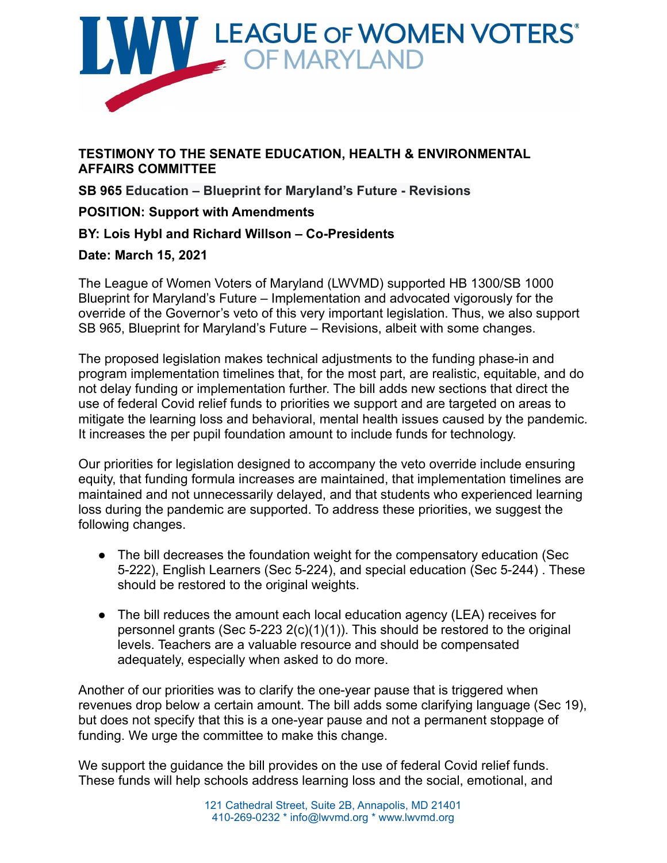

**TESTIMONY TO THE SENATE EDUCATION, HEALTH & ENVIRONMENTAL AFFAIRS COMMITTEE**

**SB 965 Education – Blueprint for Maryland's Future - Revisions**

## **POSITION: Support with Amendments**

## **BY: Lois Hybl and Richard Willson – Co-Presidents**

## **Date: March 15, 2021**

The League of Women Voters of Maryland (LWVMD) supported HB 1300/SB 1000 Blueprint for Maryland's Future – Implementation and advocated vigorously for the override of the Governor's veto of this very important legislation. Thus, we also support SB 965, Blueprint for Maryland's Future – Revisions, albeit with some changes.

The proposed legislation makes technical adjustments to the funding phase-in and program implementation timelines that, for the most part, are realistic, equitable, and do not delay funding or implementation further. The bill adds new sections that direct the use of federal Covid relief funds to priorities we support and are targeted on areas to mitigate the learning loss and behavioral, mental health issues caused by the pandemic. It increases the per pupil foundation amount to include funds for technology.

Our priorities for legislation designed to accompany the veto override include ensuring equity, that funding formula increases are maintained, that implementation timelines are maintained and not unnecessarily delayed, and that students who experienced learning loss during the pandemic are supported. To address these priorities, we suggest the following changes.

- The bill decreases the foundation weight for the compensatory education (Sec 5-222), English Learners (Sec 5-224), and special education (Sec 5-244) . These should be restored to the original weights.
- The bill reduces the amount each local education agency (LEA) receives for personnel grants (Sec 5-223 2(c)(1)(1)). This should be restored to the original levels. Teachers are a valuable resource and should be compensated adequately, especially when asked to do more.

Another of our priorities was to clarify the one-year pause that is triggered when revenues drop below a certain amount. The bill adds some clarifying language (Sec 19), but does not specify that this is a one-year pause and not a permanent stoppage of funding. We urge the committee to make this change.

We support the guidance the bill provides on the use of federal Covid relief funds. These funds will help schools address learning loss and the social, emotional, and